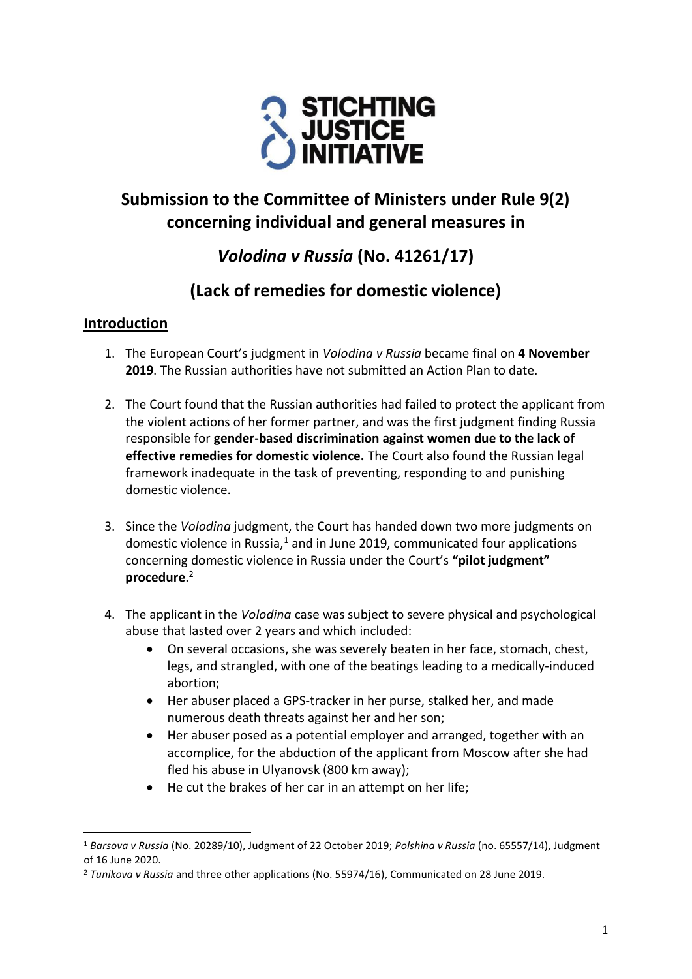

# **Submission to the Committee of Ministers under Rule 9(2) concerning individual and general measures in**

# *Volodina v Russia* **(No. 41261/17)**

## **(Lack of remedies for domestic violence)**

## **Introduction**

- 1. The European Court's judgment in *Volodina v Russia* became final on **4 November 2019**. The Russian authorities have not submitted an Action Plan to date.
- 2. The Court found that the Russian authorities had failed to protect the applicant from the violent actions of her former partner, and was the first judgment finding Russia responsible for **gender-based discrimination against women due to the lack of effective remedies for domestic violence.** The Court also found the Russian legal framework inadequate in the task of preventing, responding to and punishing domestic violence.
- 3. Since the *Volodina* judgment, the Court has handed down two more judgments on domestic violence in Russia, $1$  and in June 2019, communicated four applications concerning domestic violence in Russia under the Court's **"pilot judgment" procedure**. 2
- 4. The applicant in the *Volodina* case was subject to severe physical and psychological abuse that lasted over 2 years and which included:
	- On several occasions, she was severely beaten in her face, stomach, chest, legs, and strangled, with one of the beatings leading to a medically-induced abortion;
	- Her abuser placed a GPS-tracker in her purse, stalked her, and made numerous death threats against her and her son;
	- Her abuser posed as a potential employer and arranged, together with an accomplice, for the abduction of the applicant from Moscow after she had fled his abuse in Ulyanovsk (800 km away);
	- He cut the brakes of her car in an attempt on her life;

<sup>1</sup> *Barsova v Russia* (No. 20289/10), Judgment of 22 October 2019; *Polshina v Russia* (no. 65557/14), Judgment of 16 June 2020.

<sup>2</sup> *Tunikova v Russia* and three other applications (No[. 55974/16\)](https://hudoc.echr.coe.int/eng#{"appno":["55974/16"]}), Communicated on 28 June 2019.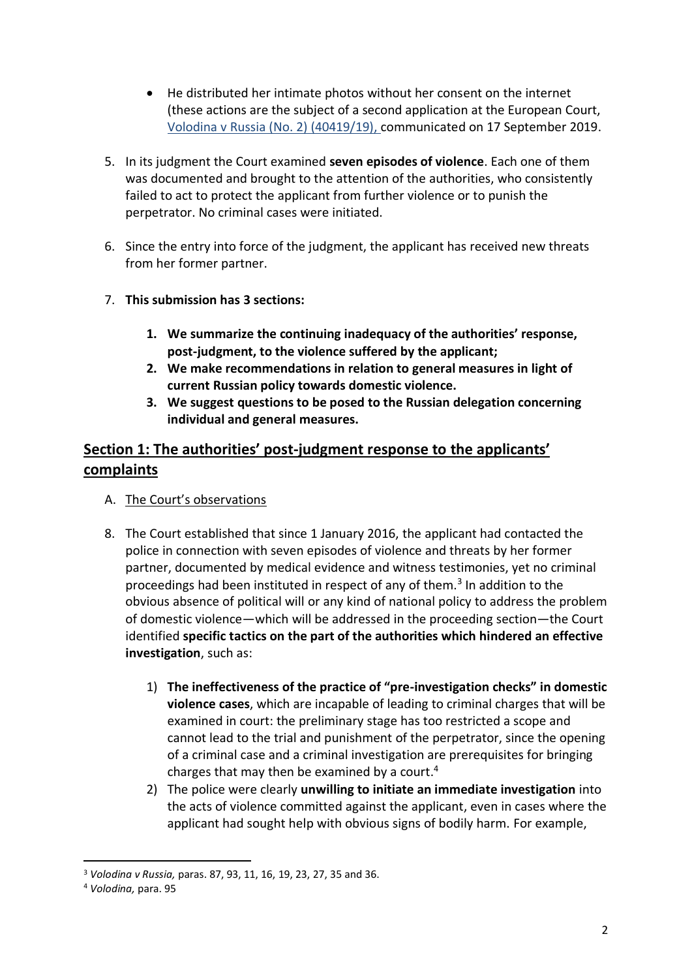- He distributed her intimate photos without her consent on the internet (these actions are the subject of a second application at the European Court, Volodina [v Russia \(No. 2\) \(40419/19\),](https://hudoc.echr.coe.int/eng#{"appno":["40419/19"]}) communicated on 17 September 2019.
- 5. In its judgment the Court examined **seven episodes of violence**. Each one of them was documented and brought to the attention of the authorities, who consistently failed to act to protect the applicant from further violence or to punish the perpetrator. No criminal cases were initiated.
- 6. Since the entry into force of the judgment, the applicant has received new threats from her former partner.
- 7. **This submission has 3 sections:** 
	- **1. We summarize the continuing inadequacy of the authorities' response, post-judgment, to the violence suffered by the applicant;**
	- **2. We make recommendations in relation to general measures in light of current Russian policy towards domestic violence.**
	- **3. We suggest questions to be posed to the Russian delegation concerning individual and general measures.**

## **Section 1: The authorities' post-judgment response to the applicants' complaints**

- A. The Court's observations
- 8. The Court established that since 1 January 2016, the applicant had contacted the police in connection with seven episodes of violence and threats by her former partner, documented by medical evidence and witness testimonies, yet no criminal proceedings had been instituted in respect of any of them.<sup>3</sup> In addition to the obvious absence of political will or any kind of national policy to address the problem of domestic violence—which will be addressed in the proceeding section—the Court identified **specific tactics on the part of the authorities which hindered an effective investigation**, such as:
	- 1) **The ineffectiveness of the practice of "pre-investigation checks" in domestic violence cases**, which are incapable of leading to criminal charges that will be examined in court: the preliminary stage has too restricted a scope and cannot lead to the trial and punishment of the perpetrator, since the opening of a criminal case and a criminal investigation are prerequisites for bringing charges that may then be examined by a court. 4
	- 2) The police were clearly **unwilling to initiate an immediate investigation** into the acts of violence committed against the applicant, even in cases where the applicant had sought help with obvious signs of bodily harm. For example,

<sup>3</sup> *Volodina v Russia,* paras. 87, 93, 11, 16, 19, 23, 27, 35 and 36.

<sup>4</sup> *Volodina,* para. 95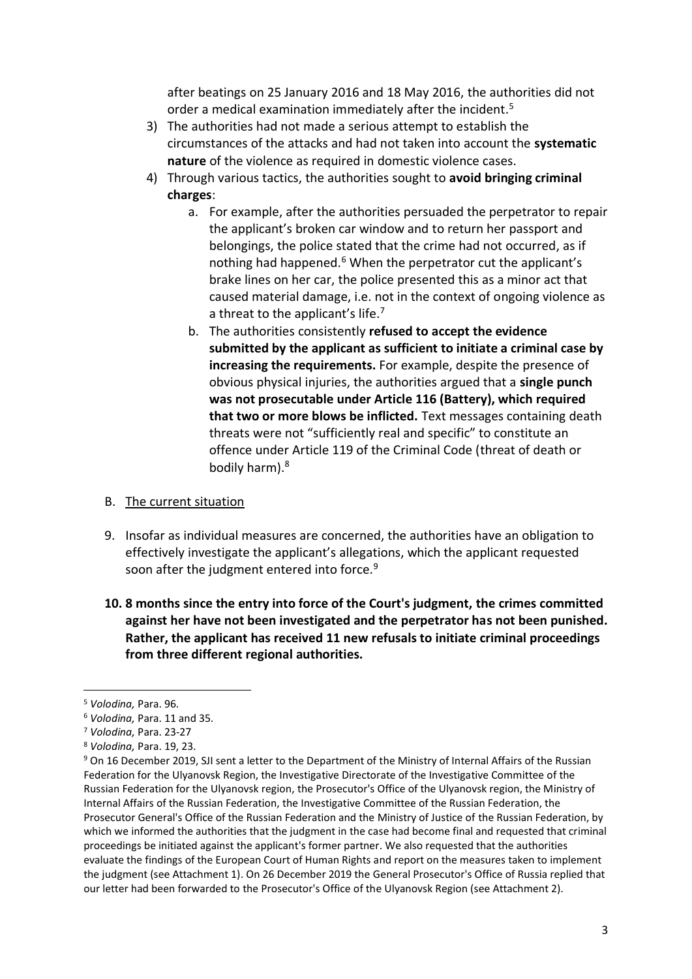after beatings on 25 January 2016 and 18 May 2016, the authorities did not order a medical examination immediately after the incident.<sup>5</sup>

- 3) The authorities had not made a serious attempt to establish the circumstances of the attacks and had not taken into account the **systematic nature** of the violence as required in domestic violence cases.
- 4) Through various tactics, the authorities sought to **avoid bringing criminal charges**:
	- a. For example, after the authorities persuaded the perpetrator to repair the applicant's broken car window and to return her passport and belongings, the police stated that the crime had not occurred, as if nothing had happened. <sup>6</sup> When the perpetrator cut the applicant's brake lines on her car, the police presented this as a minor act that caused material damage, i.e. not in the context of ongoing violence as a threat to the applicant's life.<sup>7</sup>
	- b. The authorities consistently **refused to accept the evidence submitted by the applicant as sufficient to initiate a criminal case by increasing the requirements.** For example, despite the presence of obvious physical injuries, the authorities argued that a **single punch was not prosecutable under Article 116 (Battery), which required that two or more blows be inflicted.** Text messages containing death threats were not "sufficiently real and specific" to constitute an offence under Article 119 of the Criminal Code (threat of death or bodily harm).<sup>8</sup>

## B. The current situation

- 9. Insofar as individual measures are concerned, the authorities have an obligation to effectively investigate the applicant's allegations, which the applicant requested soon after the judgment entered into force.<sup>9</sup>
- **10. 8 months since the entry into force of the Court's judgment, the crimes committed against her have not been investigated and the perpetrator has not been punished. Rather, the applicant has received 11 new refusals to initiate criminal proceedings from three different regional authorities.**

<sup>5</sup> *Volodina,* Para. 96.

<sup>6</sup> *Volodina,* Para. 11 and 35.

<sup>7</sup> *Volodina,* Para. 23-27

<sup>8</sup> *Volodina,* Para. 19, 23.

<sup>9</sup> On 16 December 2019, SJI sent a letter to the Department of the Ministry of Internal Affairs of the Russian Federation for the Ulyanovsk Region, the Investigative Directorate of the Investigative Committee of the Russian Federation for the Ulyanovsk region, the Prosecutor's Office of the Ulyanovsk region, the Ministry of Internal Affairs of the Russian Federation, the Investigative Committee of the Russian Federation, the Prosecutor General's Office of the Russian Federation and the Ministry of Justice of the Russian Federation, by which we informed the authorities that the judgment in the case had become final and requested that criminal proceedings be initiated against the applicant's former partner. We also requested that the authorities evaluate the findings of the European Court of Human Rights and report on the measures taken to implement the judgment (see Attachment 1). On 26 December 2019 the General Prosecutor's Office of Russia replied that our letter had been forwarded to the Prosecutor's Office of the Ulyanovsk Region (see Attachment 2).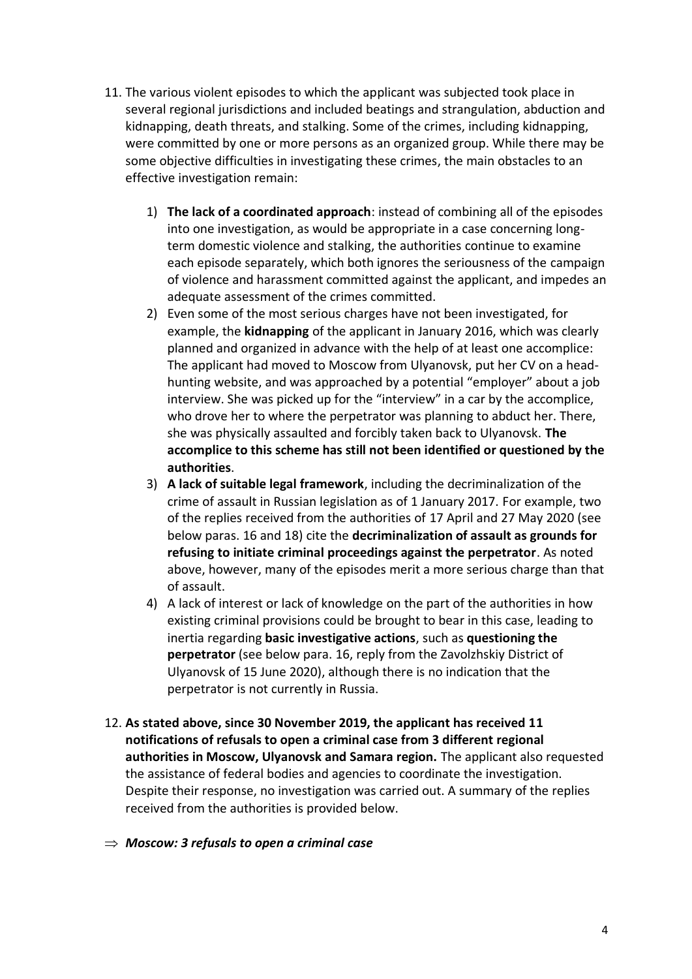- 11. The various violent episodes to which the applicant was subjected took place in several regional jurisdictions and included beatings and strangulation, abduction and kidnapping, death threats, and stalking. Some of the crimes, including kidnapping, were committed by one or more persons as an organized group. While there may be some objective difficulties in investigating these crimes, the main obstacles to an effective investigation remain:
	- 1) **The lack of a coordinated approach**: instead of combining all of the episodes into one investigation, as would be appropriate in a case concerning longterm domestic violence and stalking, the authorities continue to examine each episode separately, which both ignores the seriousness of the campaign of violence and harassment committed against the applicant, and impedes an adequate assessment of the crimes committed.
	- 2) Even some of the most serious charges have not been investigated, for example, the **kidnapping** of the applicant in January 2016, which was clearly planned and organized in advance with the help of at least one accomplice: The applicant had moved to Moscow from Ulyanovsk, put her CV on a headhunting website, and was approached by a potential "employer" about a job interview. She was picked up for the "interview" in a car by the accomplice, who drove her to where the perpetrator was planning to abduct her. There, she was physically assaulted and forcibly taken back to Ulyanovsk. **The accomplice to this scheme has still not been identified or questioned by the authorities**.
	- 3) **A lack of suitable legal framework**, including the decriminalization of the crime of assault in Russian legislation as of 1 January 2017. For example, two of the replies received from the authorities of 17 April and 27 May 2020 (see below paras. 16 and 18) cite the **decriminalization of assault as grounds for refusing to initiate criminal proceedings against the perpetrator**. As noted above, however, many of the episodes merit a more serious charge than that of assault.
	- 4) A lack of interest or lack of knowledge on the part of the authorities in how existing criminal provisions could be brought to bear in this case, leading to inertia regarding **basic investigative actions**, such as **questioning the perpetrator** (see below para. 16, reply from the Zavolzhskiy District of Ulyanovsk of 15 June 2020), although there is no indication that the perpetrator is not currently in Russia.
- 12. **As stated above, since 30 November 2019, the applicant has received 11 notifications of refusals to open a criminal case from 3 different regional authorities in Moscow, Ulyanovsk and Samara region.** The applicant also requested the assistance of federal bodies and agencies to coordinate the investigation. Despite their response, no investigation was carried out. A summary of the replies received from the authorities is provided below.
- *Moscow: 3 refusals to open a criminal case*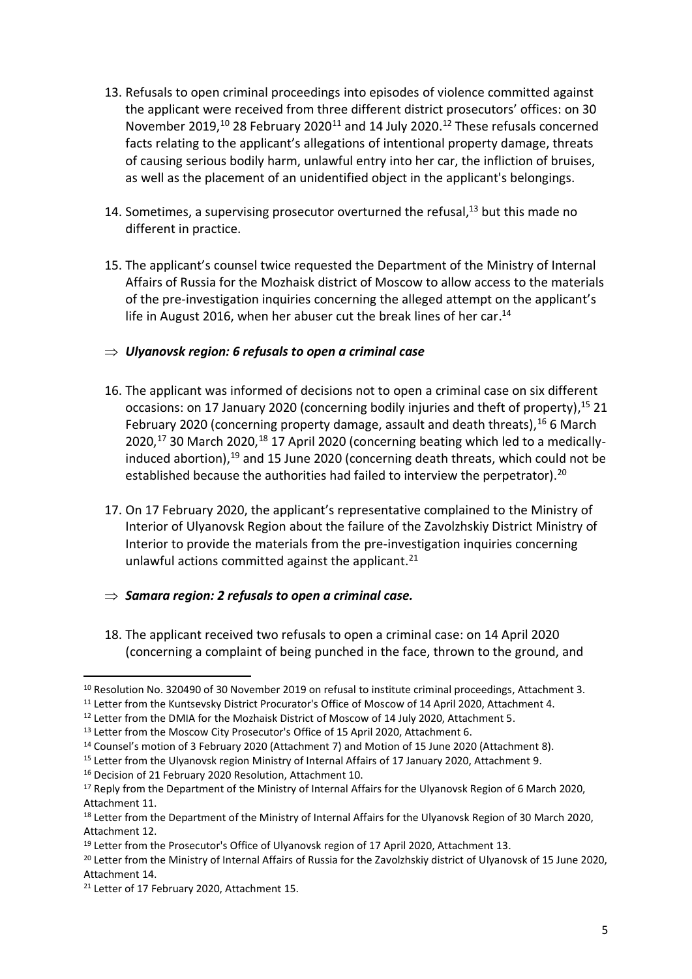- 13. Refusals to open criminal proceedings into episodes of violence committed against the applicant were received from three different district prosecutors' offices: on 30 November 2019, $^{10}$  28 February 2020<sup>11</sup> and 14 July 2020.<sup>12</sup> These refusals concerned facts relating to the applicant's allegations of intentional property damage, threats of causing serious bodily harm, unlawful entry into her car, the infliction of bruises, as well as the placement of an unidentified object in the applicant's belongings.
- 14. Sometimes, a supervising prosecutor overturned the refusal, $13$  but this made no different in practice.
- 15. The applicant's counsel twice requested the Department of the Ministry of Internal Affairs of Russia for the Mozhaisk district of Moscow to allow access to the materials of the pre-investigation inquiries concerning the alleged attempt on the applicant's life in August 2016, when her abuser cut the break lines of her car.<sup>14</sup>

## *Ulyanovsk region: 6 refusals to open a criminal case*

- 16. The applicant was informed of decisions not to open a criminal case on six different occasions: on 17 January 2020 (concerning bodily injuries and theft of property), <sup>15</sup> 21 February 2020 (concerning property damage, assault and death threats),  $^{16}$  6 March  $2020$ ,<sup>17</sup> 30 March 2020,<sup>18</sup> 17 April 2020 (concerning beating which led to a medicallyinduced abortion),<sup>19</sup> and 15 June 2020 (concerning death threats, which could not be established because the authorities had failed to interview the perpetrator).<sup>20</sup>
- 17. On 17 February 2020, the applicant's representative complained to the Ministry of Interior of Ulyanovsk Region about the failure of the Zavolzhskiy District Ministry of Interior to provide the materials from the pre-investigation inquiries concerning unlawful actions committed against the applicant.<sup>21</sup>
- $\Rightarrow$  Samara region: 2 refusals to open a criminal case.
- 18. The applicant received two refusals to open a criminal case: on 14 April 2020 (concerning a complaint of being punched in the face, thrown to the ground, and

<sup>10</sup> Resolution No. 320490 of 30 November 2019 on refusal to institute criminal proceedings, Attachment 3.

<sup>&</sup>lt;sup>11</sup> Letter from the Kuntsevsky District Procurator's Office of Moscow of 14 April 2020, Attachment 4.

<sup>&</sup>lt;sup>12</sup> Letter from the DMIA for the Mozhaisk District of Moscow of 14 July 2020, Attachment 5.

<sup>&</sup>lt;sup>13</sup> Letter from the Moscow City Prosecutor's Office of 15 April 2020, Attachment 6.

<sup>14</sup> Counsel's motion of 3 February 2020 (Attachment 7) and Motion of 15 June 2020 (Attachment 8).

<sup>15</sup> Letter from the Ulyanovsk region Ministry of Internal Affairs of 17 January 2020, Attachment 9.

<sup>16</sup> Decision of 21 February 2020 Resolution, Attachment 10.

<sup>&</sup>lt;sup>17</sup> Reply from the Department of the Ministry of Internal Affairs for the Ulyanovsk Region of 6 March 2020, Attachment 11.

<sup>&</sup>lt;sup>18</sup> Letter from the Department of the Ministry of Internal Affairs for the Ulyanovsk Region of 30 March 2020, Attachment 12.

<sup>&</sup>lt;sup>19</sup> Letter from the Prosecutor's Office of Ulyanovsk region of 17 April 2020, Attachment 13.

<sup>&</sup>lt;sup>20</sup> Letter from the Ministry of Internal Affairs of Russia for the Zavolzhskiy district of Ulyanovsk of 15 June 2020, Attachment 14.

<sup>21</sup> Letter of 17 February 2020, Attachment 15.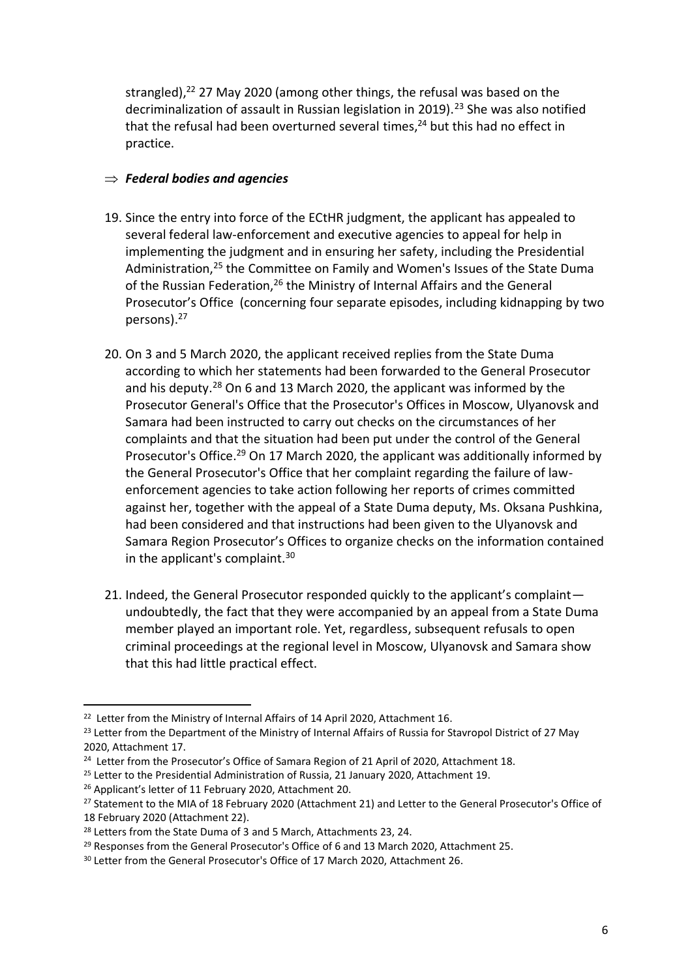strangled), $22$  27 May 2020 (among other things, the refusal was based on the decriminalization of assault in Russian legislation in 2019).<sup>23</sup> She was also notified that the refusal had been overturned several times.<sup>24</sup> but this had no effect in practice.

## *Federal bodies and agencies*

- 19. Since the entry into force of the ECtHR judgment, the applicant has appealed to several federal law-enforcement and executive agencies to appeal for help in implementing the judgment and in ensuring her safety, including the Presidential Administration,<sup>25</sup> the Committee on Family and Women's Issues of the State Duma of the Russian Federation,<sup>26</sup> the Ministry of Internal Affairs and the General Prosecutor's Office (concerning four separate episodes, including kidnapping by two persons). 27
- 20. On 3 and 5 March 2020, the applicant received replies from the State Duma according to which her statements had been forwarded to the General Prosecutor and his deputy. <sup>28</sup> On 6 and 13 March 2020, the applicant was informed by the Prosecutor General's Office that the Prosecutor's Offices in Moscow, Ulyanovsk and Samara had been instructed to carry out checks on the circumstances of her complaints and that the situation had been put under the control of the General Prosecutor's Office.<sup>29</sup> On 17 March 2020, the applicant was additionally informed by the General Prosecutor's Office that her complaint regarding the failure of lawenforcement agencies to take action following her reports of crimes committed against her, together with the appeal of a State Duma deputy, Ms. Oksana Pushkina, had been considered and that instructions had been given to the Ulyanovsk and Samara Region Prosecutor's Offices to organize checks on the information contained in the applicant's complaint.<sup>30</sup>
- 21. Indeed, the General Prosecutor responded quickly to the applicant's complaint undoubtedly, the fact that they were accompanied by an appeal from a State Duma member played an important role. Yet, regardless, subsequent refusals to open criminal proceedings at the regional level in Moscow, Ulyanovsk and Samara show that this had little practical effect.

<sup>&</sup>lt;sup>22</sup> Letter from the Ministry of Internal Affairs of 14 April 2020, Attachment 16.

<sup>&</sup>lt;sup>23</sup> Letter from the Department of the Ministry of Internal Affairs of Russia for Stavropol District of 27 May 2020, Attachment 17.

<sup>&</sup>lt;sup>24</sup> Letter from the Prosecutor's Office of Samara Region of 21 April of 2020, Attachment 18.

<sup>&</sup>lt;sup>25</sup> Letter to the Presidential Administration of Russia, 21 January 2020, Attachment 19.

<sup>26</sup> Applicant's letter of 11 February 2020, Attachment 20.

<sup>&</sup>lt;sup>27</sup> Statement to the MIA of 18 February 2020 (Attachment 21) and Letter to the General Prosecutor's Office of 18 February 2020 (Attachment 22).

<sup>&</sup>lt;sup>28</sup> Letters from the State Duma of 3 and 5 March, Attachments 23, 24.

<sup>&</sup>lt;sup>29</sup> Responses from the General Prosecutor's Office of 6 and 13 March 2020, Attachment 25.

<sup>&</sup>lt;sup>30</sup> Letter from the General Prosecutor's Office of 17 March 2020, Attachment 26.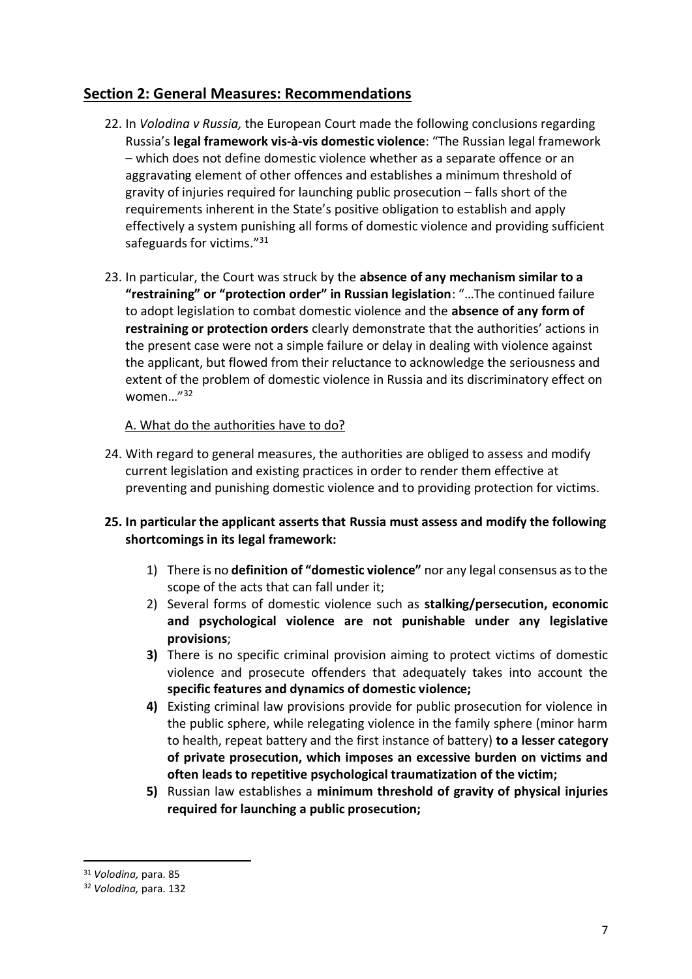## **Section 2: General Measures: Recommendations**

- 22. In *Volodina v Russia,* the European Court made the following conclusions regarding Russia's **legal framework vis-à-vis domestic violence**: "The Russian legal framework – which does not define domestic violence whether as a separate offence or an aggravating element of other offences and establishes a minimum threshold of gravity of injuries required for launching public prosecution – falls short of the requirements inherent in the State's positive obligation to establish and apply effectively a system punishing all forms of domestic violence and providing sufficient safeguards for victims."<sup>31</sup>
- 23. In particular, the Court was struck by the **absence of any mechanism similar to a "restraining" or "protection order" in Russian legislation**: "…The continued failure to adopt legislation to combat domestic violence and the **absence of any form of restraining or protection orders** clearly demonstrate that the authorities' actions in the present case were not a simple failure or delay in dealing with violence against the applicant, but flowed from their reluctance to acknowledge the seriousness and extent of the problem of domestic violence in Russia and its discriminatory effect on women…"<sup>32</sup>

## A. What do the authorities have to do?

- 24. With regard to general measures, the authorities are obliged to assess and modify current legislation and existing practices in order to render them effective at preventing and punishing domestic violence and to providing protection for victims.
- **25. In particular the applicant asserts that Russia must assess and modify the following shortcomings in its legal framework:** 
	- 1) There is no **definition of "domestic violence"** nor any legal consensus as to the scope of the acts that can fall under it;
	- 2) Several forms of domestic violence such as **stalking/persecution, economic and psychological violence are not punishable under any legislative provisions**;
	- **3)** There is no specific criminal provision aiming to protect victims of domestic violence and prosecute offenders that adequately takes into account the **specific features and dynamics of domestic violence;**
	- **4)** Existing criminal law provisions provide for public prosecution for violence in the public sphere, while relegating violence in the family sphere (minor harm to health, repeat battery and the first instance of battery) **to a lesser category of private prosecution, which imposes an excessive burden on victims and often leads to repetitive psychological traumatization of the victim;**
	- **5)** Russian law establishes a **minimum threshold of gravity of physical injuries required for launching a public prosecution;**

<sup>31</sup> *Volodina,* para. 85

<sup>32</sup> *Volodina,* para. 132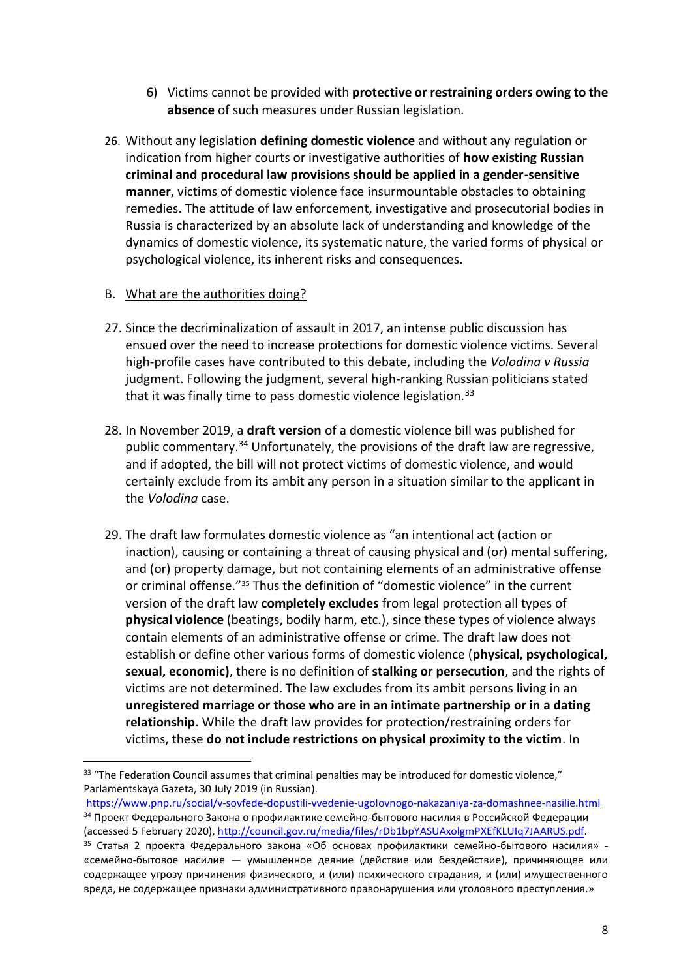- 6) Victims cannot be provided with **protective or restraining orders owing to the absence** of such measures under Russian legislation.
- 26. Without any legislation **defining domestic violence** and without any regulation or indication from higher courts or investigative authorities of **how existing Russian criminal and procedural law provisions should be applied in a gender-sensitive manner**, victims of domestic violence face insurmountable obstacles to obtaining remedies. The attitude of law enforcement, investigative and prosecutorial bodies in Russia is characterized by an absolute lack of understanding and knowledge of the dynamics of domestic violence, its systematic nature, the varied forms of physical or psychological violence, its inherent risks and consequences.

### B. What are the authorities doing?

- 27. Since the decriminalization of assault in 2017, an intense public discussion has ensued over the need to increase protections for domestic violence victims. Several high-profile cases have contributed to this debate, including the *Volodina v Russia*  judgment. Following the judgment, several high-ranking Russian politicians stated that it was finally time to pass domestic violence legislation.<sup>33</sup>
- 28. In November 2019, a **draft version** of a domestic violence bill was published for public commentary.<sup>34</sup> Unfortunately, the provisions of the draft law are regressive, and if adopted, the bill will not protect victims of domestic violence, and would certainly exclude from its ambit any person in a situation similar to the applicant in the *Volodina* case.
- 29. The draft law formulates domestic violence as "an intentional act (action or inaction), causing or containing a threat of causing physical and (or) mental suffering, and (or) property damage, but not containing elements of an administrative offense or criminal offense."<sup>35</sup> Thus the definition of "domestic violence" in the current version of the draft law **completely excludes** from legal protection all types of **physical violence** (beatings, bodily harm, etc.), since these types of violence always contain elements of an administrative offense or crime. The draft law does not establish or define other various forms of domestic violence (**physical, psychological, sexual, economic)**, there is no definition of **stalking or persecution**, and the rights of victims are not determined. The law excludes from its ambit persons living in an **unregistered marriage or those who are in an intimate partnership or in a dating relationship**. While the draft law provides for protection/restraining orders for victims, these **do not include restrictions on physical proximity to the victim**. In

<sup>&</sup>lt;sup>33</sup> "The Federation Council assumes that criminal penalties may be introduced for domestic violence," Parlamentskaya Gazeta, 30 July 2019 (in Russian).

<https://www.pnp.ru/social/v-sovfede-dopustili-vvedenie-ugolovnogo-nakazaniya-za-domashnee-nasilie.html> <sup>34</sup> Проект Федерального Закона о профилактике семейно-бытового насилия в Российской Федерации (accessed 5 February 2020)[, http://council.gov.ru/media/files/rDb1bpYASUAxolgmPXEfKLUIq7JAARUS.pdf.](http://council.gov.ru/media/files/rDb1bpYASUAxolgmPXEfKLUIq7JAARUS.pdf)

<sup>35</sup> Статья 2 проекта Федерального закона «Об основах профилактики семейно-бытового насилия» - «семейно-бытовое насилие — умышленное деяние (действие или бездействие), причиняющее или содержащее угрозу причинения физического, и (или) психического страдания, и (или) имущественного вреда, не содержащее признаки административного правонарушения или уголовного преступления.»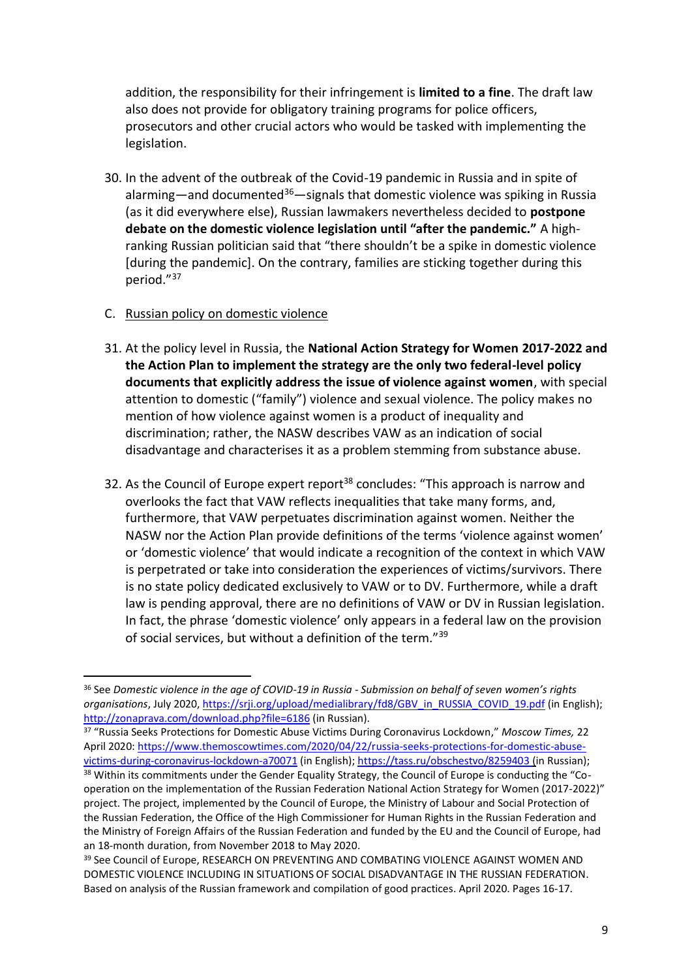addition, the responsibility for their infringement is **limited to a fine**. The draft law also does not provide for obligatory training programs for police officers, prosecutors and other crucial actors who would be tasked with implementing the legislation.

30. In the advent of the outbreak of the Covid-19 pandemic in Russia and in spite of alarming—and documented<sup>36</sup>—signals that domestic violence was spiking in Russia (as it did everywhere else), Russian lawmakers nevertheless decided to **postpone debate on the domestic violence legislation until "after the pandemic."** A highranking Russian politician said that "there shouldn't be a spike in domestic violence [during the pandemic]. On the contrary, families are sticking together during this period."<sup>37</sup>

#### C. Russian policy on domestic violence

- 31. At the policy level in Russia, the **National Action Strategy for Women 2017-2022 and the Action Plan to implement the strategy are the only two federal-level policy documents that explicitly address the issue of violence against women**, with special attention to domestic ("family") violence and sexual violence. The policy makes no mention of how violence against women is a product of inequality and discrimination; rather, the NASW describes VAW as an indication of social disadvantage and characterises it as a problem stemming from substance abuse.
- 32. As the Council of Europe expert report<sup>38</sup> concludes: "This approach is narrow and overlooks the fact that VAW reflects inequalities that take many forms, and, furthermore, that VAW perpetuates discrimination against women. Neither the NASW nor the Action Plan provide definitions of the terms 'violence against women' or 'domestic violence' that would indicate a recognition of the context in which VAW is perpetrated or take into consideration the experiences of victims/survivors. There is no state policy dedicated exclusively to VAW or to DV. Furthermore, while a draft law is pending approval, there are no definitions of VAW or DV in Russian legislation. In fact, the phrase 'domestic violence' only appears in a federal law on the provision of social services, but without a definition of the term."<sup>39</sup>

<sup>36</sup> See *Domestic violence in the age of COVID-19 in Russia - Submission on behalf of seven women's rights organisations*, July 2020[, https://srji.org/upload/medialibrary/fd8/GBV\\_in\\_RUSSIA\\_COVID\\_19.pdf](https://srji.org/upload/medialibrary/fd8/GBV_in_RUSSIA_COVID_19.pdf) (in English); <http://zonaprava.com/download.php?file=6186> (in Russian).

<sup>37</sup> "Russia Seeks Protections for Domestic Abuse Victims During Coronavirus Lockdown," *Moscow Times,* 22 April 2020: [https://www.themoscowtimes.com/2020/04/22/russia-seeks-protections-for-domestic-abuse](https://www.themoscowtimes.com/2020/04/22/russia-seeks-protections-for-domestic-abuse-victims-during-coronavirus-lockdown-a70071)[victims-during-coronavirus-lockdown-a70071](https://www.themoscowtimes.com/2020/04/22/russia-seeks-protections-for-domestic-abuse-victims-during-coronavirus-lockdown-a70071) (in English); <https://tass.ru/obschestvo/8259403> (in Russian);

<sup>&</sup>lt;sup>38</sup> Within its commitments under the Gender Equality Strategy, the Council of Europe is conducting the "Cooperation on the implementation of the Russian Federation National Action Strategy for Women (2017-2022)" project. The project, implemented by the Council of Europe, the Ministry of Labour and Social Protection of the Russian Federation, the Office of the High Commissioner for Human Rights in the Russian Federation and the Ministry of Foreign Affairs of the Russian Federation and funded by the EU and the Council of Europe, had an 18-month duration, from November 2018 to May 2020.

<sup>&</sup>lt;sup>39</sup> See Council of Europe, RESEARCH ON PREVENTING AND COMBATING VIOLENCE AGAINST WOMEN AND DOMESTIC VIOLENCE INCLUDING IN SITUATIONS OF SOCIAL DISADVANTAGE IN THE RUSSIAN FEDERATION. Based on analysis of the Russian framework and compilation of good practices. April 2020. Pages 16-17.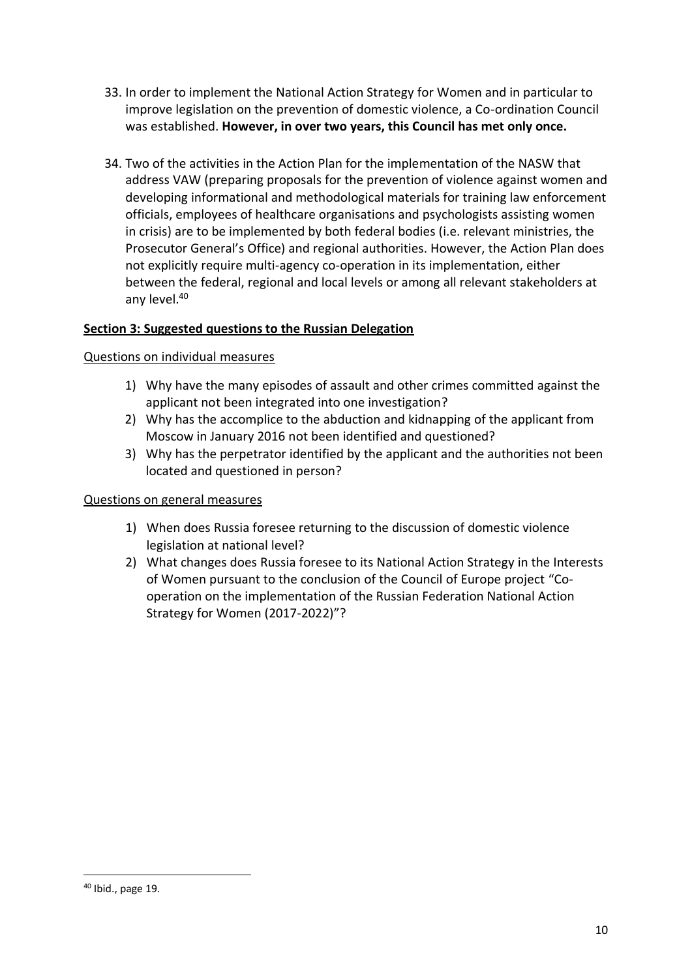- 33. In order to implement the National Action Strategy for Women and in particular to improve legislation on the prevention of domestic violence, a Co-ordination Council was established. **However, in over two years, this Council has met only once.**
- 34. Two of the activities in the Action Plan for the implementation of the NASW that address VAW (preparing proposals for the prevention of violence against women and developing informational and methodological materials for training law enforcement officials, employees of healthcare organisations and psychologists assisting women in crisis) are to be implemented by both federal bodies (i.e. relevant ministries, the Prosecutor General's Office) and regional authorities. However, the Action Plan does not explicitly require multi-agency co-operation in its implementation, either between the federal, regional and local levels or among all relevant stakeholders at any level.<sup>40</sup>

### **Section 3: Suggested questions to the Russian Delegation**

### Questions on individual measures

- 1) Why have the many episodes of assault and other crimes committed against the applicant not been integrated into one investigation?
- 2) Why has the accomplice to the abduction and kidnapping of the applicant from Moscow in January 2016 not been identified and questioned?
- 3) Why has the perpetrator identified by the applicant and the authorities not been located and questioned in person?

#### Questions on general measures

- 1) When does Russia foresee returning to the discussion of domestic violence legislation at national level?
- 2) What changes does Russia foresee to its National Action Strategy in the Interests of Women pursuant to the conclusion of the Council of Europe project "Cooperation on the implementation of the Russian Federation National Action Strategy for Women (2017-2022)"?

<sup>40</sup> Ibid., page 19.